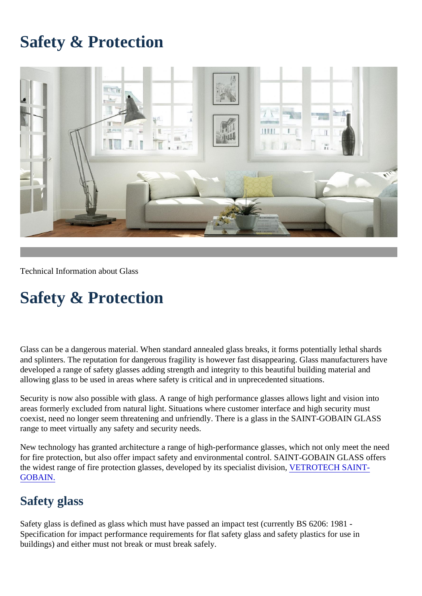# Safety & Protection

Technical Information about Glass

# Safety & Protection

Glass can be a dangerous material. When standard annealed glass breaks, it forms potentially lethal and splinters. The reputation for dangerous fragility is however fast disappearing. Glass manufacture developed a range of safety glasses adding strength and integrity to this beautiful building material and allowing glass to be used in areas where safety is critical and in unprecedented situations.

Security is now also possible with glass. A range of high performance glasses allows light and vision areas formerly excluded from natural light. Situations where customer interface and high security must coexist, need no longer seem threatening and unfriendly. There is a glass in the SAINT-GOBAIN GL. range to meet virtually any safety and security needs.

New technology has granted architecture a range of high-performance glasses, which not only meet for fire protection, but also offer impact safety and environmental control. SAINT-GOBAIN GLASS off the widest range of fire protection glasses, developed by its specialist division, OTECH SAINT-[GOBAIN.](https://vetrotech.com/en/uk/home-europe)

### Safety glass

Safety glass is defined as glass which must have passed an impact test (currently BS 6206: 1981 - Specification for impact performance requirements for flat safety glass and safety plastics for use in buildings) and either must not break or must break safely.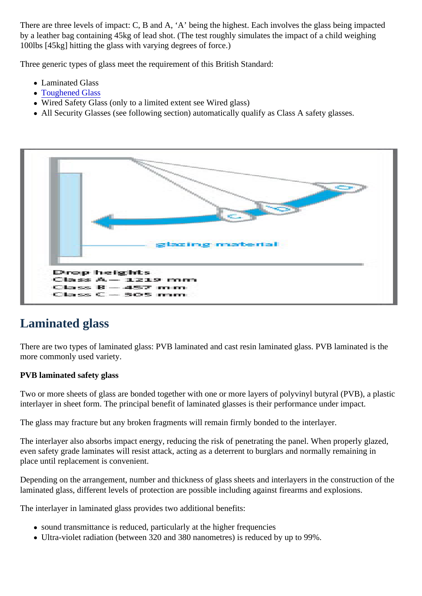There are three levels of impact: C, B and A, 'A' being the highest. Each involves the glass being impactured. by a leather bag containing 45kg of lead shot. (The test roughly simulates the impact of a child weigh 100lbs [45kg] hitting the glass with varying degrees of force.)

Three generic types of glass meet the requirement of this British Standard:

- Laminated Glass
- [Toughened Glas](https://uk.saint-gobain-building-glass.com/en-gb/Tempered-Glass)s
- Wired Safety Glass (only to a limited extent see Wired glass)
- All Security Glasses (see following section) automatically qualify as Class A safety glasses.

# Laminated glass

There are two types of laminated glass: PVB laminated and cast resin laminated glass. PVB laminate more commonly used variety.

PVB laminated safety glass

Two or more sheets of glass are bonded together with one or more layers of polyvinyl butyral (PVB), interlayer in sheet form. The principal benefit of laminated glasses is their performance under impact.

The glass may fracture but any broken fragments will remain firmly bonded to the interlayer.

The interlayer also absorbs impact energy, reducing the risk of penetrating the panel. When properly even safety grade laminates will resist attack, acting as a deterrent to burglars and normally remainir place until replacement is convenient.

Depending on the arrangement, number and thickness of glass sheets and interlayers in the construction laminated glass, different levels of protection are possible including against firearms and explosions.

The interlayer in laminated glass provides two additional benefits:

- sound transmittance is reduced, particularly at the higher frequencies
- Ultra-violet radiation (between 320 and 380 nanometres) is reduced by up to 99%.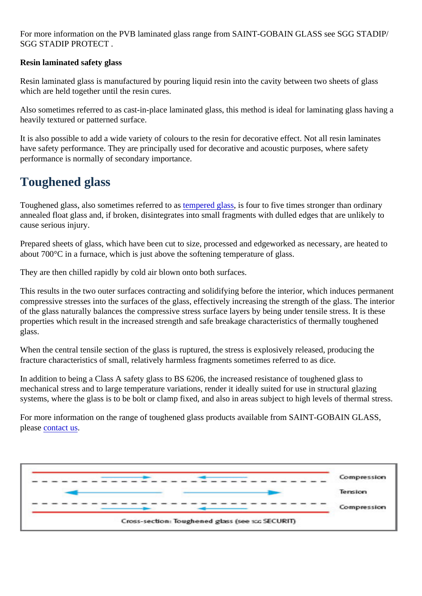For more information on the PVB laminated glass range from SAINT-GOBAIN GLASS see SGG STA SGG STADIP PROTECT .

Resin laminated safety glass

Resin laminated glass is manufactured by pouring liquid resin into the cavity between two sheets of glass which are held together until the resin cures.

Also sometimes referred to as cast-in-place laminated glass, this method is ideal for laminating glass heavily textured or patterned surface.

It is also possible to add a wide variety of colours to the resin for decorative effect. Not all resin lamin have safety performance. They are principally used for decorative and acoustic purposes, where safe performance is normally of secondary importance.

# Toughened glass

Toughened glass[,](https://uk.saint-gobain-building-glass.com/en-gb/Tempered-Glass) also sometimes referred **terapered glass** four to five times stronger than ordinary annealed float glass and, if broken, disintegrates into small fragments with dulled edges that are unlikely cause serious injury.

Prepared sheets of glass, which have been cut to size, processed and edgeworked as necessary, and about 700°C in a furnace, which is just above the softening temperature of glass.

They are then chilled rapidly by cold air blown onto both surfaces.

This results in the two outer surfaces contracting and solidifying before the interior, which induces permanent compressive stresses into the surfaces of the glass, effectively increasing the strength of the glass. The interof the glass naturally balances the compressive stress surface layers by being under tensile stress. It properties which result in the increased strength and safe breakage characteristics of thermally tough glass.

When the central tensile section of the glass is ruptured, the stress is explosively released, producing fracture characteristics of small, relatively harmless fragments sometimes referred to as dice.

In addition to being a Class A safety glass to BS 6206, the increased resistance of toughened glass to mechanical stress and to large temperature variations, render it ideally suited for use in structural gla systems, where the glass is to be bolt or clamp fixed, and also in areas subject to high levels of thern

For more information on the range of toughened glass products available from SAINT-GOBAIN GLAS pleas[e contact u](https://uk.saint-gobain-building-glass.com/en-gb/form/contact)s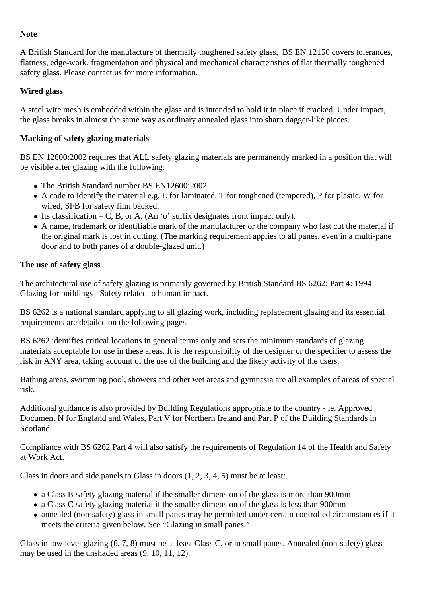#### **Note**

A British Standard for the manufacture of thermally toughened safety glass, BS EN 12150 covers tolerances, flatness, edge-work, fragmentation and physical and mechanical characteristics of flat thermally toughened safety glass. Please contact us for more information.

#### **Wired glass**

A steel wire mesh is embedded within the glass and is intended to hold it in place if cracked. Under impact, the glass breaks in almost the same way as ordinary annealed glass into sharp dagger-like pieces.

#### **Marking of safety glazing materials**

BS EN 12600:2002 requires that ALL safety glazing materials are permanently marked in a position that will be visible after glazing with the following:

- The British Standard number BS EN12600:2002.
- A code to identify the material e.g. L for laminated, T for toughened (tempered), P for plastic, W for wired, SFB for safety film backed.
- Its classification C, B, or A. (An 'o' suffix designates front impact only).
- A name, trademark or identifiable mark of the manufacturer or the company who last cut the material if the original mark is lost in cutting. (The marking requirement applies to all panes, even in a multi-pane door and to both panes of a double-glazed unit.)

#### **The use of safety glass**

The architectural use of safety glazing is primarily governed by British Standard BS 6262: Part 4: 1994 - Glazing for buildings - Safety related to human impact.

BS 6262 is a national standard applying to all glazing work, including replacement glazing and its essential requirements are detailed on the following pages.

BS 6262 identifies critical locations in general terms only and sets the minimum standards of glazing materials acceptable for use in these areas. It is the responsibility of the designer or the specifier to assess the risk in ANY area, taking account of the use of the building and the likely activity of the users.

Bathing areas, swimming pool, showers and other wet areas and gymnasia are all examples of areas of special risk.

Additional guidance is also provided by Building Regulations appropriate to the country - ie. Approved Document N for England and Wales, Part V for Northern Ireland and Part P of the Building Standards in Scotland.

Compliance with BS 6262 Part 4 will also satisfy the requirements of Regulation 14 of the Health and Safety at Work Act.

Glass in doors and side panels to Glass in doors (1, 2, 3, 4, 5) must be at least:

- a Class B safety glazing material if the smaller dimension of the glass is more than 900mm
- a Class C safety glazing material if the smaller dimension of the glass is less than 900mm
- annealed (non-safety) glass in small panes may be permitted under certain controlled circumstances if it meets the criteria given below. See "Glazing in small panes."

Glass in low level glazing (6, 7, 8) must be at least Class C, or in small panes. Annealed (non-safety) glass may be used in the unshaded areas (9, 10, 11, 12).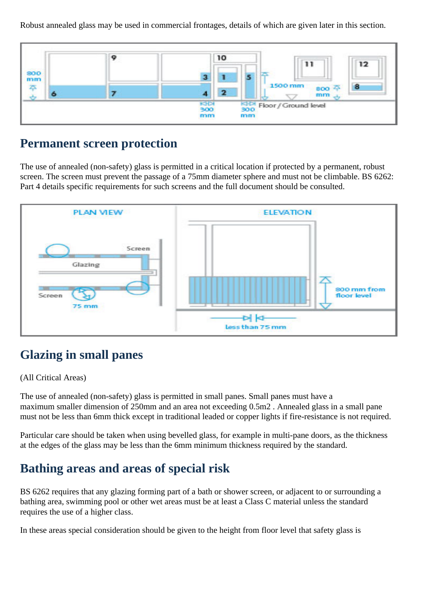Robust annealed glass may be used in commercial frontages, details of which are given later in this section.



### **Permanent screen protection**

The use of annealed (non-safety) glass is permitted in a critical location if protected by a permanent, robust screen. The screen must prevent the passage of a 75mm diameter sphere and must not be climbable. BS 6262: Part 4 details specific requirements for such screens and the full document should be consulted.



# **Glazing in small panes**

#### (All Critical Areas)

The use of annealed (non-safety) glass is permitted in small panes. Small panes must have a maximum smaller dimension of 250mm and an area not exceeding 0.5m2 . Annealed glass in a small pane must not be less than 6mm thick except in traditional leaded or copper lights if fire-resistance is not required.

Particular care should be taken when using bevelled glass, for example in multi-pane doors, as the thickness at the edges of the glass may be less than the 6mm minimum thickness required by the standard.

### **Bathing areas and areas of special risk**

BS 6262 requires that any glazing forming part of a bath or shower screen, or adjacent to or surrounding a bathing area, swimming pool or other wet areas must be at least a Class C material unless the standard requires the use of a higher class.

In these areas special consideration should be given to the height from floor level that safety glass is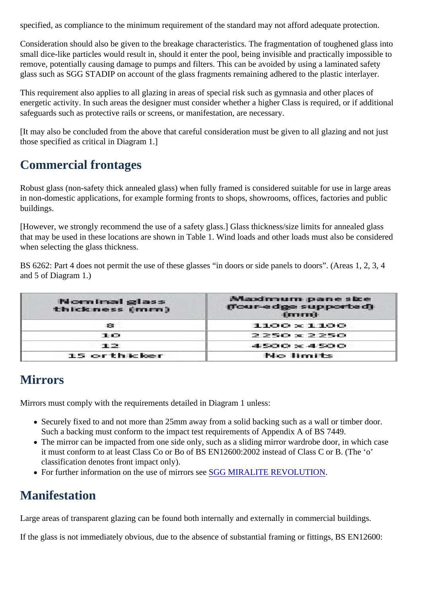specified, as compliance to the minimum requirement of the standard may not afford adequate proted

Consideration should also be given to the breakage characteristics. The fragmentation of toughened small dice-like particles would result in, should it enter the pool, being invisible and practically impossiremove, potentially causing damage to pumps and filters. This can be avoided by using a laminated safety glass such as SGG STADIP on account of the glass fragments remaining adhered to the plastic inter

This requirement also applies to all glazing in areas of special risk such as gymnasia and other place energetic activity. In such areas the designer must consider whether a higher Class is required, or if  $\epsilon$ safeguards such as protective rails or screens, or manifestation, are necessary.

[It may also be concluded from the above that careful consideration must be given to all glazing and  $\mathbf{u}$ those specified as critical in Diagram 1.]

# Commercial frontages

Robust glass (non-safety thick annealed glass) when fully framed is considered suitable for use in lar in non-domestic applications, for example forming fronts to shops, showrooms, offices, factories and buildings.

[However, we strongly recommend the use of a safety glass.] Glass thickness/size limits for annealed that may be used in these locations are shown in Table 1. Wind loads and other loads must also be o when selecting the glass thickness.

BS 6262: Part 4 does not permit the use of these glasses "in doors or side panels to doors". (Areas 1 and 5 of Diagram 1.)

# **Mirrors**

Mirrors must comply with the requirements detailed in Diagram 1 unless:

- Securely fixed to and not more than 25mm away from a solid backing such as a wall or timber of. Such a backing must conform to the impact test requirements of Appendix A of BS 7449.
- The mirror can be impacted from one side only, such as a sliding mirror wardrobe door, in which it must conform to at least Class Co or Bo of BS EN12600:2002 instead of Class C or B. (The 'o classification denotes front impact only).
- For further information on the use of mirrors SGGG MIRALITE REVOLUTION.

# Manifestation

Large areas of transparent glazing can be found both internally and externally in commercial building

If the glass is not immediately obvious, due to the absence of substantial framing or fittings, BS EN12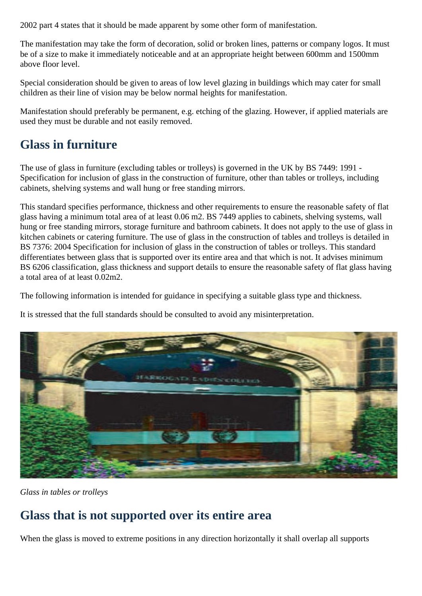2002 part 4 states that it should be made apparent by some other form of manifestation.

The manifestation may take the form of decoration, solid or broken lines, patterns or company logos. It must be of a size to make it immediately noticeable and at an appropriate height between 600mm and 1500mm above floor level.

Special consideration should be given to areas of low level glazing in buildings which may cater for small children as their line of vision may be below normal heights for manifestation.

Manifestation should preferably be permanent, e.g. etching of the glazing. However, if applied materials are used they must be durable and not easily removed.

# **Glass in furniture**

The use of glass in furniture (excluding tables or trolleys) is governed in the UK by BS 7449: 1991 - Specification for inclusion of glass in the construction of furniture, other than tables or trolleys, including cabinets, shelving systems and wall hung or free standing mirrors.

This standard specifies performance, thickness and other requirements to ensure the reasonable safety of flat glass having a minimum total area of at least 0.06 m2. BS 7449 applies to cabinets, shelving systems, wall hung or free standing mirrors, storage furniture and bathroom cabinets. It does not apply to the use of glass in kitchen cabinets or catering furniture. The use of glass in the construction of tables and trolleys is detailed in BS 7376: 2004 Specification for inclusion of glass in the construction of tables or trolleys. This standard differentiates between glass that is supported over its entire area and that which is not. It advises minimum BS 6206 classification, glass thickness and support details to ensure the reasonable safety of flat glass having a total area of at least 0.02m2.

The following information is intended for guidance in specifying a suitable glass type and thickness.

It is stressed that the full standards should be consulted to avoid any misinterpretation.



*Glass in tables or trolleys*

# **Glass that is not supported over its entire area**

When the glass is moved to extreme positions in any direction horizontally it shall overlap all supports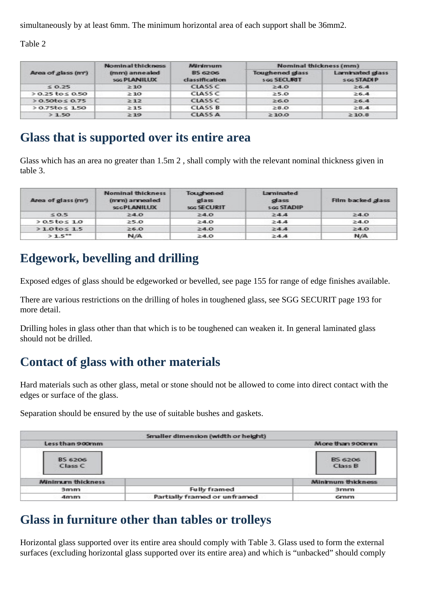simultaneously by at least 6mm. The minimum horizontal area of each support shall be 36mm2.

Table 2

| Area of glass (m*)      | <b>Nominal thickness</b>      | <b>Minimum</b>                          | Nominal thickness (mm)                 |                                               |  |  |  |
|-------------------------|-------------------------------|-----------------------------------------|----------------------------------------|-----------------------------------------------|--|--|--|
|                         | (mm) annealed<br>soc PLANILUX | <b>BS 6206</b><br><b>classification</b> | <b>Toughened glass</b><br>s og SECURIT | Laminated glass<br><b>SOG STADIP</b><br>2.6.4 |  |  |  |
| < 0.25                  | 2.10                          | <b>CLASS C</b>                          | 24.0                                   |                                               |  |  |  |
| $> 0.25$ to $\leq 0.50$ | 2.10                          | <b>CLASS C</b>                          | 2.5.0                                  | 2.6.4                                         |  |  |  |
| $> 0.50$ to $\leq 0.75$ | 2:12                          | <b>CLASS C</b>                          | 2.6.0                                  | 2.6.4                                         |  |  |  |
| $> 0.75$ to $\leq 1.50$ | 2.15                          | <b>CLASS B</b>                          | 28.0                                   | 28.4                                          |  |  |  |
| >1.50                   | >19                           | <b>CLASS A</b>                          | 210.0                                  | 210.8                                         |  |  |  |

### **Glass that is supported over its entire area**

Glass which has an area no greater than 1.5m 2 , shall comply with the relevant nominal thickness given in table 3.

| Area of glass (m <sup>-</sup> ) | <b>Nominal thickness</b><br>(mm) annealed<br><b>SGGPLANILUX</b> | Toughened<br>glass<br>soc SECURIT | <b>Laminated</b><br>glass<br><b>SGG STADIP</b> | Film backed glass |  |  |
|---------------------------------|-----------------------------------------------------------------|-----------------------------------|------------------------------------------------|-------------------|--|--|
| 50.5                            | 24.0                                                            | 2.4.0                             | 24.4                                           | 24.0              |  |  |
| $>0.5$ tos 1.0                  | 25.0                                                            | 2.4.0                             | 2.4.4                                          | 2.4.0             |  |  |
| $>1.0$ tos $1.5$                | 26.0                                                            | 24.0                              | 24.4                                           | 24.0              |  |  |
| $>1.5***$                       | N/A                                                             | 2.4.0                             | >4.4                                           | N/A               |  |  |

### **Edgework, bevelling and drilling**

Exposed edges of glass should be edgeworked or bevelled, see page 155 for range of edge finishes available.

There are various restrictions on the drilling of holes in toughened glass, see SGG SECURIT page 193 for more detail.

Drilling holes in glass other than that which is to be toughened can weaken it. In general laminated glass should not be drilled.

### **Contact of glass with other materials**

Hard materials such as other glass, metal or stone should not be allowed to come into direct contact with the edges or surface of the glass.

Separation should be ensured by the use of suitable bushes and gaskets.

|                                      | Smaller dimension (width or height) |                           |  |
|--------------------------------------|-------------------------------------|---------------------------|--|
| Less than 900mm                      |                                     | More than 900mm           |  |
| <b>BS 6206</b><br>Class C            |                                     | <b>BS 6206</b><br>Class B |  |
| <b>Minimum thickness</b>             |                                     | <b>Minimum thickness</b>  |  |
| 3mm                                  | <b>Fully framed</b>                 | 3mm                       |  |
| Partially framed or unframed<br>4mm. |                                     | Groupo.                   |  |

### **Glass in furniture other than tables or trolleys**

Horizontal glass supported over its entire area should comply with Table 3. Glass used to form the external surfaces (excluding horizontal glass supported over its entire area) and which is "unbacked" should comply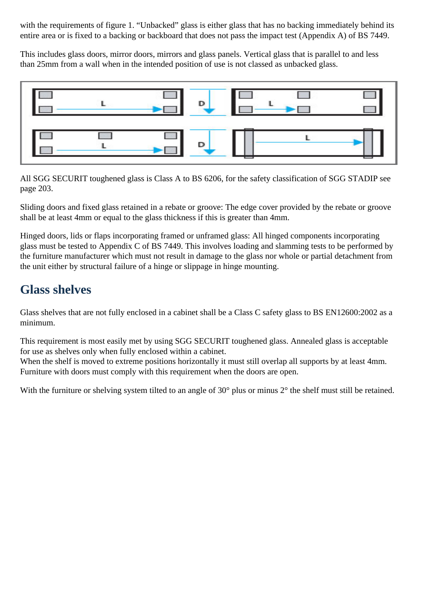with the requirements of figure 1. "Unbacked" glass is either glass that has no backing immediately behind its entire area or is fixed to a backing or backboard that does not pass the impact test (Appendix A) of BS 7449.

This includes glass doors, mirror doors, mirrors and glass panels. Vertical glass that is parallel to and less than 25mm from a wall when in the intended position of use is not classed as unbacked glass.



All SGG SECURIT toughened glass is Class A to BS 6206, for the safety classification of SGG STADIP see page 203.

Sliding doors and fixed glass retained in a rebate or groove: The edge cover provided by the rebate or groove shall be at least 4mm or equal to the glass thickness if this is greater than 4mm.

Hinged doors, lids or flaps incorporating framed or unframed glass: All hinged components incorporating glass must be tested to Appendix C of BS 7449. This involves loading and slamming tests to be performed by the furniture manufacturer which must not result in damage to the glass nor whole or partial detachment from the unit either by structural failure of a hinge or slippage in hinge mounting.

### **Glass shelves**

Glass shelves that are not fully enclosed in a cabinet shall be a Class C safety glass to BS EN12600:2002 as a minimum.

This requirement is most easily met by using SGG SECURIT toughened glass. Annealed glass is acceptable for use as shelves only when fully enclosed within a cabinet.

When the shelf is moved to extreme positions horizontally it must still overlap all supports by at least 4mm. Furniture with doors must comply with this requirement when the doors are open.

With the furniture or shelving system tilted to an angle of 30° plus or minus 2° the shelf must still be retained.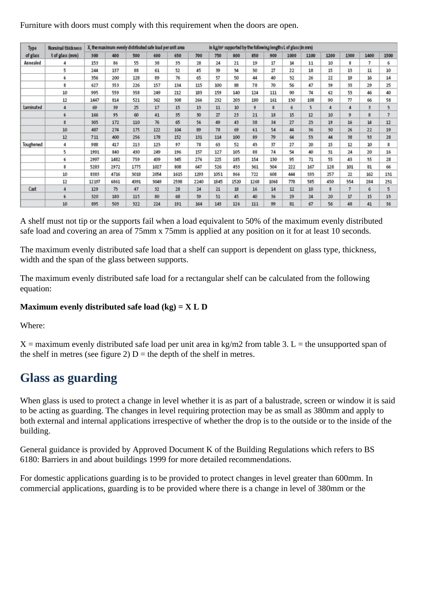Furniture with doors must comply with this requirement when the doors are open.

| Type<br>of glass | Nominal thickness<br>t of glass (mm) | X, the maximum evenly distributed safe load per unit area<br>in kg/m <sup>3</sup> supported by the following lengths L of glass (in mm) |      |      |      |      |      |      |         |      |      |      |      |      |                |              |                |
|------------------|--------------------------------------|-----------------------------------------------------------------------------------------------------------------------------------------|------|------|------|------|------|------|---------|------|------|------|------|------|----------------|--------------|----------------|
|                  |                                      | 300                                                                                                                                     | 400  | 500  | 600  | 650  | 700  | 750  | 800     | 850  | 900  | 1000 | 1100 | 1200 | 1300           | 1400         | 1500           |
| Annealed         |                                      | 153                                                                                                                                     | 86   | 55   | 38   | 33   | 28   | 24   | $^{21}$ | 19   | 17   | 14   | 11   | 10   | 8              | 7.           | 6              |
|                  | 5                                    | 244                                                                                                                                     | 137  | 88   | 61   | 52   | 45   | 39   | 34      | 30   | 27   | 22   | 18   | 15   | 13             | 11           | 10             |
|                  | 6                                    | 356                                                                                                                                     | 200  | 128  | 89   | 76   | 65   | 57   | 50      | 44   | 40   | 32   | 26   | 22   | 19             | 16           | 14             |
|                  | 8                                    | 627                                                                                                                                     | 353  | 226  | 157  | 134  | 115  | 100  | 88      | 78   | 70   | 56   | 47   | 39   | 33             | 29           | 25             |
|                  | 10                                   | 995                                                                                                                                     | 559  | 358  | 249  | 212  | 183  | 159  | 140     | 124  | 111  | 90   | 74   | 62   | 53             | 46           | 40             |
|                  | 12                                   | 1447                                                                                                                                    | 814  | 521  | 362  | 308  | 266  | 232  | 203     | 180  | 161  | 130  | 108  | 90   | $\overline{H}$ | 66           | 58             |
| Laminated        | 4                                    | 69                                                                                                                                      | 39   | 25   | 17   | 15   | 13   | 11   | 10      | 9    | 8    | 6    | 5    | 4    | 4              | $\mathbf{3}$ | з              |
|                  | 6                                    | 166                                                                                                                                     | 93   | 60   | 41   | 35   | 30   | 27   | 23      | 21   | 18   | 15   | 12   | 10   | $\mathbf{9}$   | 8            | $\overline{7}$ |
|                  | 8                                    | 305                                                                                                                                     | 172  | 110  | 76   | 65   | 56   | 49   | 43      | 38   | 34   | 27   | 23   | 19   | 16             | 14           | 12             |
|                  | 10                                   | 487                                                                                                                                     | 274  | 175  | 122  | 104  | 89   | 78   | 69      | 61   | 54   | 44   | 36   | 30   | 26             | 22           | 19             |
|                  | 12                                   | 711                                                                                                                                     | 400  | 256  | 178  | 152  | 131  | 114  | 100     | 89   | 79   | 64   | 53   | 44   | 38             | 33           | 28             |
| Toughened        | 4                                    | 988                                                                                                                                     | 417  | 213  | 123  | 97   | 78   | 63   | 52      | 43   | 37   | 27   | 20   | 15   | 12             | 10           | 8              |
|                  | 5.                                   | 1991                                                                                                                                    | 840  | 430  | 249  | 196  | 157  | 127  | 105     | 88   | 74   | 54   | 40   | 31   | 24             | 20           | 16             |
|                  | 6                                    | 2997                                                                                                                                    | 1482 | 759  | 439  | 345  | 276  | 225  | 185     | 154  | 130  | 95   | 71   | 55   | 43             | 35           | 28             |
|                  | 8                                    | 5283                                                                                                                                    | 2972 | 1775 | 1027 | 808  | 647  | 526  | 433     | 361  | 304  | 222  | 167  | 128  | 101            | 81           | 66             |
|                  | 10                                   | 8383                                                                                                                                    | 4716 | 3018 | 2054 | 1615 | 1293 | 1051 | 866     | 722  | 608  | 444  | 333  | 257  | 22             | 162          | 131            |
|                  | 12                                   | 12197                                                                                                                                   | 6861 | 4391 | 3049 | 2598 | 2240 | 1845 | 1520    | 1268 | 1068 | 778  | 585  | 450  | 354            | 284          | 231            |
| Cast             | 4                                    | 129                                                                                                                                     | 73   | 47   | 32   | 28   | 24   | 21   | 18      | 16   | 14   | 12   | 10   | 8    | $\overline{7}$ | 6            | 5              |
|                  | 6                                    | 320                                                                                                                                     | 180  | 115  | 80   | 68   | 59   | 51   | 45      | 40   | 36   | 29   | 24   | 20   | 17             | 15           | 13             |
|                  | 10                                   | 895                                                                                                                                     | 503  | 322  | 224  | 191  | 164  | 143  | 126     | 111  | 99   | 81   | 67   | 56   | 48             | 41           | 36             |

A shelf must not tip or the supports fail when a load equivalent to 50% of the maximum evenly distributed safe load and covering an area of 75mm x 75mm is applied at any position on it for at least 10 seconds.

The maximum evenly distributed safe load that a shelf can support is dependent on glass type, thickness, width and the span of the glass between supports.

The maximum evenly distributed safe load for a rectangular shelf can be calculated from the following equation:

#### **Maximum evenly distributed safe load (kg) = X L D**

Where:

 $X =$  maximum evenly distributed safe load per unit area in kg/m2 from table 3. L = the unsupported span of the shelf in metres (see figure 2)  $D =$  the depth of the shelf in metres.

### **Glass as guarding**

When glass is used to protect a change in level whether it is as part of a balustrade, screen or window it is said to be acting as guarding. The changes in level requiring protection may be as small as 380mm and apply to both external and internal applications irrespective of whether the drop is to the outside or to the inside of the building.

General guidance is provided by Approved Document K of the Building Regulations which refers to BS 6180: Barriers in and about buildings 1999 for more detailed recommendations.

For domestic applications guarding is to be provided to protect changes in level greater than 600mm. In commercial applications, guarding is to be provided where there is a change in level of 380mm or the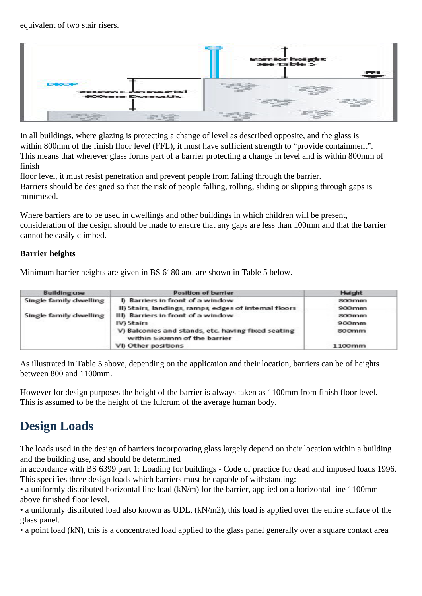equivalent of two stair risers.



In all buildings, where glazing is protecting a change of level as described opposite, and the glass is within 800mm of the finish floor level (FFL), it must have sufficient strength to "provide containment". This means that wherever glass forms part of a barrier protecting a change in level and is within 800mm of finish

floor level, it must resist penetration and prevent people from falling through the barrier. Barriers should be designed so that the risk of people falling, rolling, sliding or slipping through gaps is

minimised.

Where barriers are to be used in dwellings and other buildings in which children will be present, consideration of the design should be made to ensure that any gaps are less than 100mm and that the barrier cannot be easily climbed.

### **Barrier heights**

Minimum barrier heights are given in BS 6180 and are shown in Table 5 below.

| <b>Building use</b>    | <b>Position of barrier</b>                                                                                                                                   | <b>Height</b>                                                                  |  |  |
|------------------------|--------------------------------------------------------------------------------------------------------------------------------------------------------------|--------------------------------------------------------------------------------|--|--|
| Single family dwelling | I) Barriers in front of a window<br>II) Stairs, landings, ramps, edges of internal floors                                                                    | <b>SOOmm</b><br>900mm                                                          |  |  |
| Single family dwelling | III) Barriers in front of a window<br>IV) Stairs<br>V) Balconies and stands, etc. having fixed seating<br>within 530mm of the barrier<br>VI) Other positions | SOOmm.<br>900mm<br><b>SOOmm</b><br>and the company of the company of<br>1100mm |  |  |

As illustrated in Table 5 above, depending on the application and their location, barriers can be of heights between 800 and 1100mm.

However for design purposes the height of the barrier is always taken as 1100mm from finish floor level. This is assumed to be the height of the fulcrum of the average human body.

# **Design Loads**

The loads used in the design of barriers incorporating glass largely depend on their location within a building and the building use, and should be determined

in accordance with BS 6399 part 1: Loading for buildings - Code of practice for dead and imposed loads 1996. This specifies three design loads which barriers must be capable of withstanding:

• a uniformly distributed horizontal line load (kN/m) for the barrier, applied on a horizontal line 1100mm above finished floor level.

• a uniformly distributed load also known as UDL, (kN/m2), this load is applied over the entire surface of the glass panel.

• a point load (kN), this is a concentrated load applied to the glass panel generally over a square contact area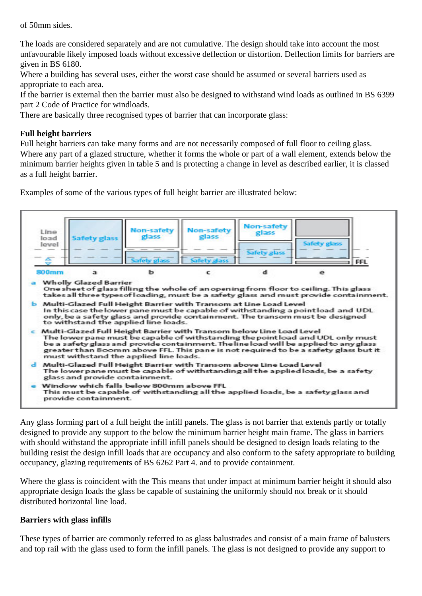of 50mm sides.

The loads are considered separately and are not cumulative. The design should take into account the most unfavourable likely imposed loads without excessive deflection or distortion. Deflection limits for barriers are given in BS 6180.

Where a building has several uses, either the worst case should be assumed or several barriers used as appropriate to each area.

If the barrier is external then the barrier must also be designed to withstand wind loads as outlined in BS 6399 part 2 Code of Practice for windloads.

There are basically three recognised types of barrier that can incorporate glass:

### **Full height barriers**

Full height barriers can take many forms and are not necessarily composed of full floor to ceiling glass. Where any part of a glazed structure, whether it forms the whole or part of a wall element, extends below the minimum barrier heights given in table 5 and is protecting a change in level as described earlier, it is classed as a full height barrier.

Examples of some of the various types of full height barrier are illustrated below:



Any glass forming part of a full height the infill panels. The glass is not barrier that extends partly or totally designed to provide any support to the below the minimum barrier height main frame. The glass in barriers with should withstand the appropriate infill infill panels should be designed to design loads relating to the building resist the design infill loads that are occupancy and also conform to the safety appropriate to building occupancy, glazing requirements of BS 6262 Part 4. and to provide containment.

Where the glass is coincident with the This means that under impact at minimum barrier height it should also appropriate design loads the glass be capable of sustaining the uniformly should not break or it should distributed horizontal line load.

#### **Barriers with glass infills**

These types of barrier are commonly referred to as glass balustrades and consist of a main frame of balusters and top rail with the glass used to form the infill panels. The glass is not designed to provide any support to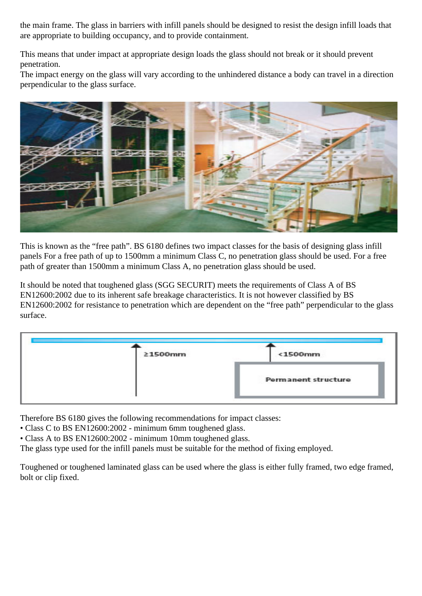the main frame. The glass in barriers with infill panels should be designed to resist the design infill loads that are appropriate to building occupancy, and to provide containment.

This means that under impact at appropriate design loads the glass should not break or it should prevent penetration.

The impact energy on the glass will vary according to the unhindered distance a body can travel in a direction perpendicular to the glass surface.

![](_page_12_Picture_3.jpeg)

This is known as the "free path". BS 6180 defines two impact classes for the basis of designing glass infill panels For a free path of up to 1500mm a minimum Class C, no penetration glass should be used. For a free path of greater than 1500mm a minimum Class A, no penetration glass should be used.

It should be noted that toughened glass (SGG SECURIT) meets the requirements of Class A of BS EN12600:2002 due to its inherent safe breakage characteristics. It is not however classified by BS EN12600:2002 for resistance to penetration which are dependent on the "free path" perpendicular to the glass surface.

| 21500mm | $1500mm$                   |
|---------|----------------------------|
|         | <b>Permanent structure</b> |

Therefore BS 6180 gives the following recommendations for impact classes:

• Class C to BS EN12600:2002 - minimum 6mm toughened glass.

• Class A to BS EN12600:2002 - minimum 10mm toughened glass.

The glass type used for the infill panels must be suitable for the method of fixing employed.

Toughened or toughened laminated glass can be used where the glass is either fully framed, two edge framed, bolt or clip fixed.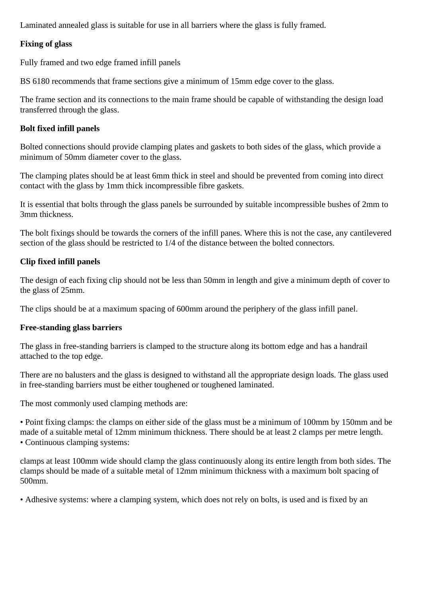Laminated annealed glass is suitable for use in all barriers where the glass is fully framed.

### **Fixing of glass**

Fully framed and two edge framed infill panels

BS 6180 recommends that frame sections give a minimum of 15mm edge cover to the glass.

The frame section and its connections to the main frame should be capable of withstanding the design load transferred through the glass.

### **Bolt fixed infill panels**

Bolted connections should provide clamping plates and gaskets to both sides of the glass, which provide a minimum of 50mm diameter cover to the glass.

The clamping plates should be at least 6mm thick in steel and should be prevented from coming into direct contact with the glass by 1mm thick incompressible fibre gaskets.

It is essential that bolts through the glass panels be surrounded by suitable incompressible bushes of 2mm to 3mm thickness.

The bolt fixings should be towards the corners of the infill panes. Where this is not the case, any cantilevered section of the glass should be restricted to 1/4 of the distance between the bolted connectors.

### **Clip fixed infill panels**

The design of each fixing clip should not be less than 50mm in length and give a minimum depth of cover to the glass of 25mm.

The clips should be at a maximum spacing of 600mm around the periphery of the glass infill panel.

### **Free-standing glass barriers**

The glass in free-standing barriers is clamped to the structure along its bottom edge and has a handrail attached to the top edge.

There are no balusters and the glass is designed to withstand all the appropriate design loads. The glass used in free-standing barriers must be either toughened or toughened laminated.

The most commonly used clamping methods are:

• Point fixing clamps: the clamps on either side of the glass must be a minimum of 100mm by 150mm and be made of a suitable metal of 12mm minimum thickness. There should be at least 2 clamps per metre length. • Continuous clamping systems:

clamps at least 100mm wide should clamp the glass continuously along its entire length from both sides. The clamps should be made of a suitable metal of 12mm minimum thickness with a maximum bolt spacing of 500mm.

• Adhesive systems: where a clamping system, which does not rely on bolts, is used and is fixed by an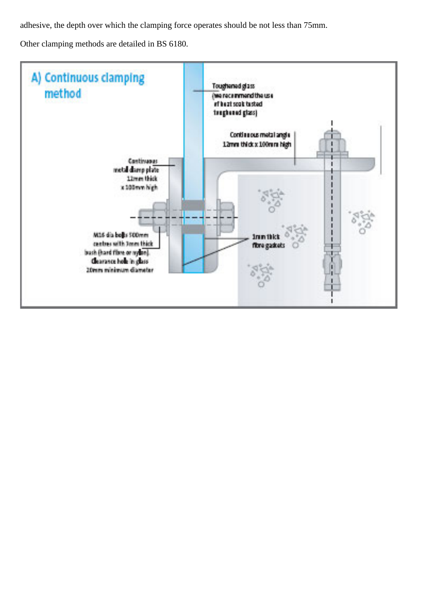adhesive, the depth over which the clamping force operates should be not less than 75mm.

Other clamping methods are detailed in BS 6180.

![](_page_14_Figure_2.jpeg)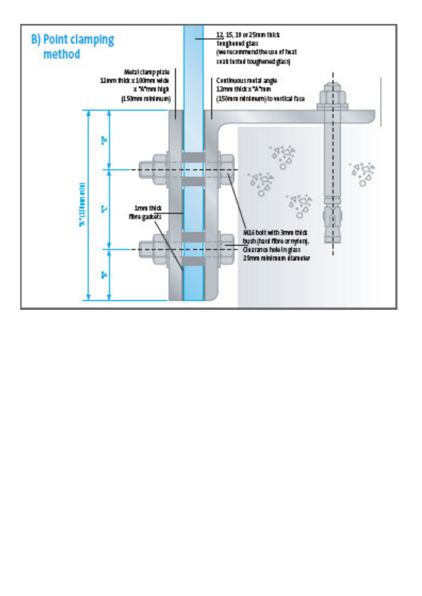![](_page_15_Figure_0.jpeg)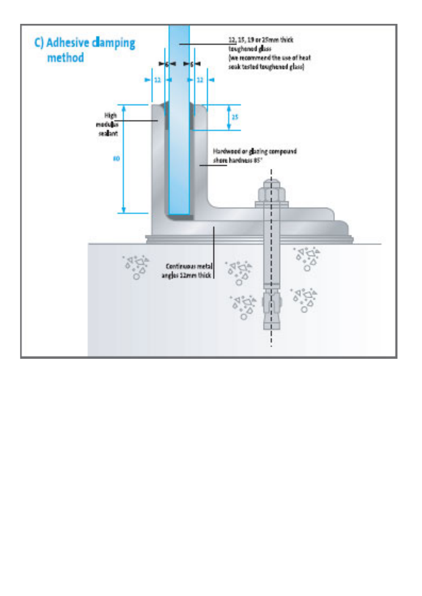![](_page_16_Figure_0.jpeg)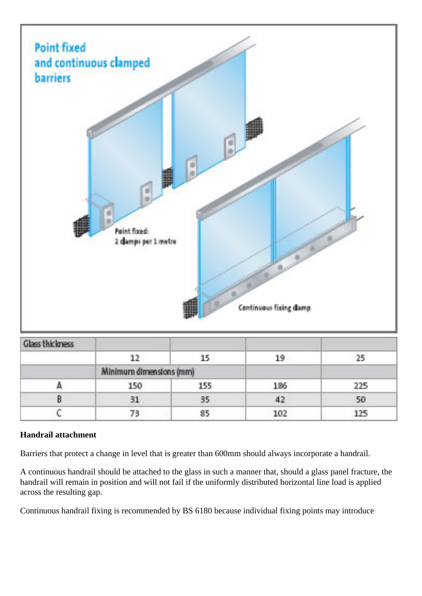![](_page_17_Figure_0.jpeg)

| Glass thickness |                         |     |     |       |
|-----------------|-------------------------|-----|-----|-------|
|                 |                         |     |     |       |
|                 | Minimum dimensions (mm) |     |     |       |
|                 | 150                     | 155 | 186 | 225   |
|                 |                         |     |     |       |
|                 |                         |     | 102 | I DE. |

### **Handrail attachment**

Barriers that protect a change in level that is greater than 600mm should always incorporate a handrail.

A continuous handrail should be attached to the glass in such a manner that, should a glass panel fracture, the handrail will remain in position and will not fail if the uniformly distributed horizontal line load is applied across the resulting gap.

Continuous handrail fixing is recommended by BS 6180 because individual fixing points may introduce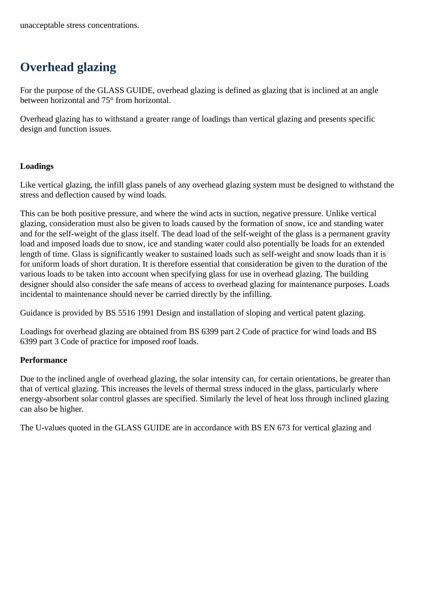# **Overhead glazing**

For the purpose of the GLASS GUIDE, overhead glazing is defined as glazing that is inclined at an angle between horizontal and 75° from horizontal.

Overhead glazing has to withstand a greater range of loadings than vertical glazing and presents specific design and function issues.

### **Loadings**

Like vertical glazing, the infill glass panels of any overhead glazing system must be designed to withstand the stress and deflection caused by wind loads.

This can be both positive pressure, and where the wind acts in suction, negative pressure. Unlike vertical glazing, consideration must also be given to loads caused by the formation of snow, ice and standing water and for the self-weight of the glass itself. The dead load of the self-weight of the glass is a permanent gravity load and imposed loads due to snow, ice and standing water could also potentially be loads for an extended length of time. Glass is significantly weaker to sustained loads such as self-weight and snow loads than it is for uniform loads of short duration. It is therefore essential that consideration be given to the duration of the various loads to be taken into account when specifying glass for use in overhead glazing. The building designer should also consider the safe means of access to overhead glazing for maintenance purposes. Loads incidental to maintenance should never be carried directly by the infilling.

Guidance is provided by BS 5516 1991 Design and installation of sloping and vertical patent glazing.

Loadings for overhead glazing are obtained from BS 6399 part 2 Code of practice for wind loads and BS 6399 part 3 Code of practice for imposed roof loads.

### **Performance**

Due to the inclined angle of overhead glazing, the solar intensity can, for certain orientations, be greater than that of vertical glazing. This increases the levels of thermal stress induced in the glass, particularly where energy-absorbent solar control glasses are specified. Similarly the level of heat loss through inclined glazing can also be higher.

The U-values quoted in the GLASS GUIDE are in accordance with BS EN 673 for vertical glazing and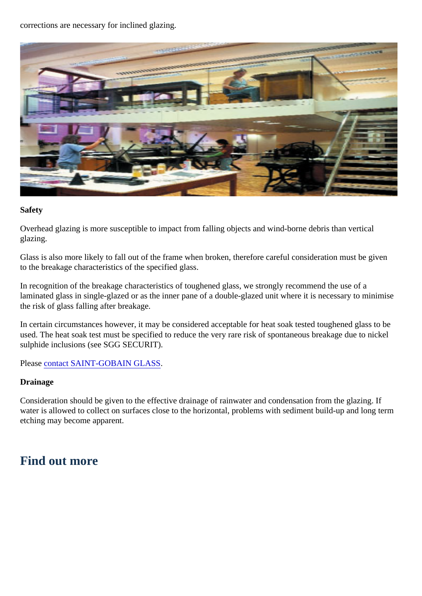corrections are necessary for inclined glazing.

Safety

Overhead glazing is more susceptible to impact from falling objects and wind-borne debris than vertic glazing.

Glass is also more likely to fall out of the frame when broken, therefore careful consideration must be to the breakage characteristics of the specified glass.

In recognition of the breakage characteristics of toughened glass, we strongly recommend the use of laminated glass in single-glazed or as the inner pane of a double-glazed unit where it is necessary to the risk of glass falling after breakage.

In certain circumstances however, it may be considered acceptable for heat soak tested toughened glass used. The heat soak test must be specified to reduce the very rare risk of spontaneous breakage due sulphide inclusions (see SGG SECURIT).

Please contact SAINT-GOBAIN GLASS

Drainage

Consideration should be given to the effective drainage of rainwater and condensation from the glazi water is allowed to collect on surfaces close to the horizontal, problems with sediment build-up and Ic etching may become apparent.

Find out more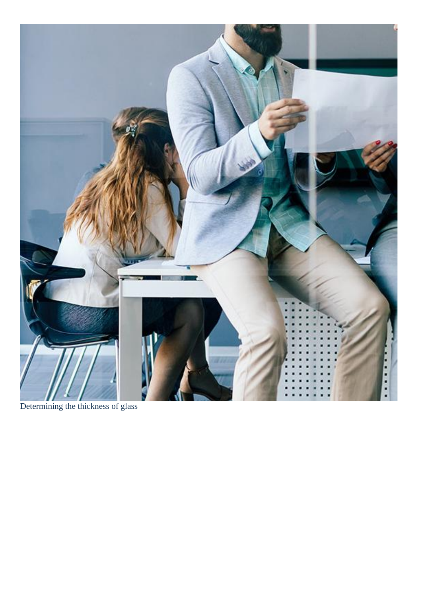Determining the thickness of glass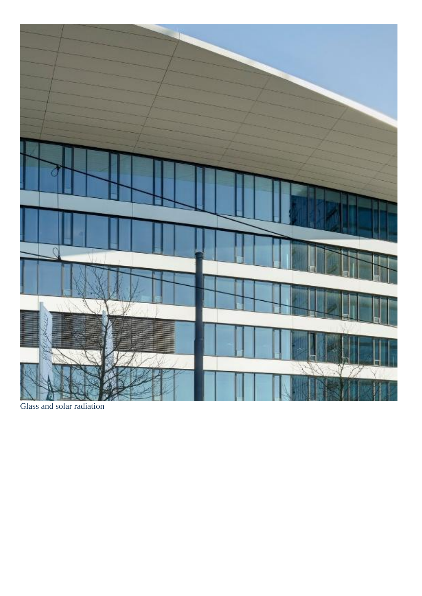Glass and solar radiation